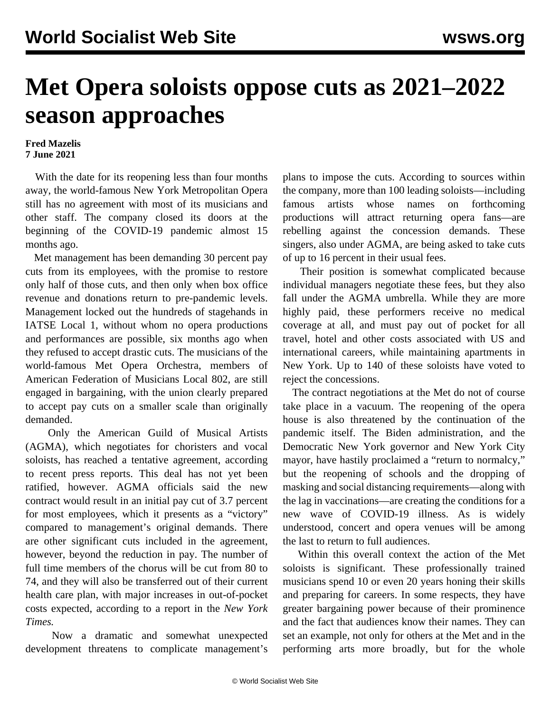## **Met Opera soloists oppose cuts as 2021–2022 season approaches**

## **Fred Mazelis 7 June 2021**

 With the date for its reopening less than four months away, the world-famous New York Metropolitan Opera still has no agreement with most of its musicians and other staff. The company closed its doors at the beginning of the COVID-19 pandemic almost 15 months ago.

 Met management has been demanding 30 percent pay cuts from its employees, with the promise to restore only half of those cuts, and then only when box office revenue and donations return to pre-pandemic levels. Management locked out the hundreds of stagehands in IATSE Local 1, without whom no opera productions and performances are possible, six months ago when they refused to accept drastic cuts. The musicians of the world-famous Met Opera Orchestra, members of American Federation of Musicians Local 802, are still engaged in bargaining, with the union clearly prepared to accept pay cuts on a smaller scale than originally demanded.

 Only the American Guild of Musical Artists (AGMA), which negotiates for choristers and vocal soloists, has reached a tentative agreement, according to recent press reports. This deal has not yet been ratified, however. AGMA officials said the new contract would result in an initial pay cut of 3.7 percent for most employees, which it presents as a "victory" compared to management's original demands. There are other significant cuts included in the agreement, however, beyond the reduction in pay. The number of full time members of the chorus will be cut from 80 to 74, and they will also be transferred out of their current health care plan, with major increases in out-of-pocket costs expected, according to a report in the *New York Times.*

 Now a dramatic and somewhat unexpected development threatens to complicate management's

plans to impose the cuts. According to sources within the company, more than 100 leading soloists—including famous artists whose names on forthcoming productions will attract returning opera fans—are rebelling against the concession demands. These singers, also under AGMA, are being asked to take cuts of up to 16 percent in their usual fees.

 Their position is somewhat complicated because individual managers negotiate these fees, but they also fall under the AGMA umbrella. While they are more highly paid, these performers receive no medical coverage at all, and must pay out of pocket for all travel, hotel and other costs associated with US and international careers, while maintaining apartments in New York. Up to 140 of these soloists have voted to reject the concessions.

 The contract negotiations at the Met do not of course take place in a vacuum. The reopening of the opera house is also threatened by the continuation of the pandemic itself. The Biden administration, and the Democratic New York governor and New York City mayor, have hastily proclaimed a "return to normalcy," but the reopening of schools and the dropping of masking and social distancing requirements—along with the lag in vaccinations—are creating the conditions for a new wave of COVID-19 illness. As is widely understood, concert and opera venues will be among the last to return to full audiences.

 Within this overall context the action of the Met soloists is significant. These professionally trained musicians spend 10 or even 20 years honing their skills and preparing for careers. In some respects, they have greater bargaining power because of their prominence and the fact that audiences know their names. They can set an example, not only for others at the Met and in the performing arts more broadly, but for the whole